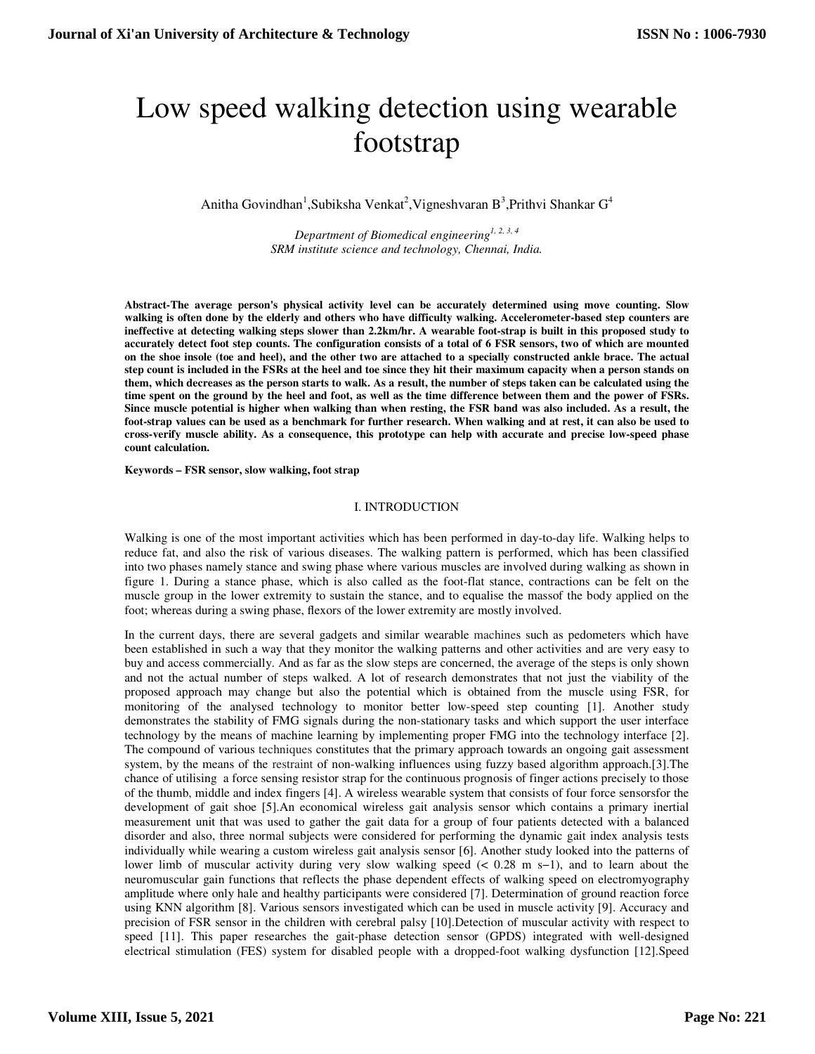# Low speed walking detection using wearable footstrap

Anitha Govindhan<sup>1</sup>, Subiksha Venkat<sup>2</sup>, Vigneshvaran B<sup>3</sup>, Prithvi Shankar G<sup>4</sup>

*Department of Biomedical engineering1, 2, 3, 4 SRM institute science and technology, Chennai, India.* 

**Abstract-The average person's physical activity level can be accurately determined using move counting. Slow walking is often done by the elderly and others who have difficulty walking. Accelerometer-based step counters are ineffective at detecting walking steps slower than 2.2km/hr. A wearable foot-strap is built in this proposed study to accurately detect foot step counts. The configuration consists of a total of 6 FSR sensors, two of which are mounted on the shoe insole (toe and heel), and the other two are attached to a specially constructed ankle brace. The actual step count is included in the FSRs at the heel and toe since they hit their maximum capacity when a person stands on them, which decreases as the person starts to walk. As a result, the number of steps taken can be calculated using the time spent on the ground by the heel and foot, as well as the time difference between them and the power of FSRs. Since muscle potential is higher when walking than when resting, the FSR band was also included. As a result, the foot-strap values can be used as a benchmark for further research. When walking and at rest, it can also be used to cross-verify muscle ability. As a consequence, this prototype can help with accurate and precise low-speed phase count calculation.** 

**Keywords – FSR sensor, slow walking, foot strap** 

#### I. INTRODUCTION

Walking is one of the most important activities which has been performed in day-to-day life. Walking helps to reduce fat, and also the risk of various diseases. The walking pattern is performed, which has been classified into two phases namely stance and swing phase where various muscles are involved during walking as shown in figure 1. During a stance phase, which is also called as the foot-flat stance, contractions can be felt on the muscle group in the lower extremity to sustain the stance, and to equalise the massof the body applied on the foot; whereas during a swing phase, flexors of the lower extremity are mostly involved.

In the current days, there are several gadgets and similar wearable machines such as pedometers which have been established in such a way that they monitor the walking patterns and other activities and are very easy to buy and access commercially. And as far as the slow steps are concerned, the average of the steps is only shown and not the actual number of steps walked. A lot of research demonstrates that not just the viability of the proposed approach may change but also the potential which is obtained from the muscle using FSR, for monitoring of the analysed technology to monitor better low-speed step counting [1]. Another study demonstrates the stability of FMG signals during the non-stationary tasks and which support the user interface technology by the means of machine learning by implementing proper FMG into the technology interface [2]. The compound of various techniques constitutes that the primary approach towards an ongoing gait assessment system, by the means of the restraint of non-walking influences using fuzzy based algorithm approach.[3].The chance of utilising a force sensing resistor strap for the continuous prognosis of finger actions precisely to those of the thumb, middle and index fingers [4]. A wireless wearable system that consists of four force sensorsfor the development of gait shoe [5].An economical wireless gait analysis sensor which contains a primary inertial measurement unit that was used to gather the gait data for a group of four patients detected with a balanced disorder and also, three normal subjects were considered for performing the dynamic gait index analysis tests individually while wearing a custom wireless gait analysis sensor [6]. Another study looked into the patterns of lower limb of muscular activity during very slow walking speed (< 0.28 m s−1), and to learn about the neuromuscular gain functions that reflects the phase dependent effects of walking speed on electromyography amplitude where only hale and healthy participants were considered [7]. Determination of ground reaction force using KNN algorithm [8]. Various sensors investigated which can be used in muscle activity [9]. Accuracy and precision of FSR sensor in the children with cerebral palsy [10].Detection of muscular activity with respect to speed [11]. This paper researches the gait-phase detection sensor (GPDS) integrated with well-designed electrical stimulation (FES) system for disabled people with a dropped-foot walking dysfunction [12].Speed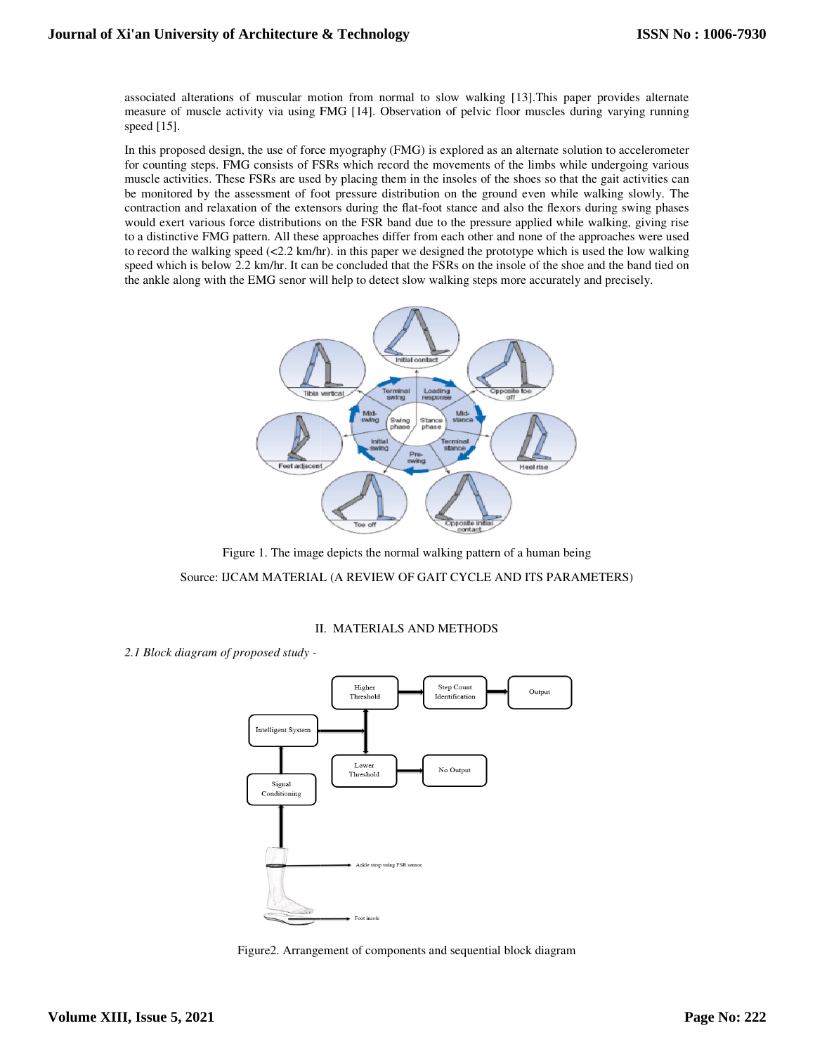associated alterations of muscular motion from normal to slow walking [13].This paper provides alternate measure of muscle activity via using FMG [14]. Observation of pelvic floor muscles during varying running speed [15]. measure of muscle activity via using FMG [14]. Observation of pelvic floor muscles during varying running<br>speed [15].<br>In this proposed design, the use of force myography (FMG) is explored as an alternate solution to accele

for counting steps. FMG consists of FSRs which record the movements of the limbs while undergoing various for counting steps. FMG consists of FSRs which record the movements of the limbs while undergoing various muscle activities. These FSRs are used by placing them in the insoles of the shoes so that the gait activities can be monitored by the assessment of foot pressure distribution on the ground even while walking slowly. The contraction and relaxation of the extensors during the flat-foot stance and also the flexors during swing phases would exert various force distributions on the FSR band due to the pressure applied while walking, giving rise would exert various force distributions on the FSR band due to the pressure applied while walking, giving rise<br>to a distinctive FMG pattern. All these approaches differ from each other and none of the approaches were used to record the walking speed (<2.2 km/hr). in this paper we designed the prototype which is used the low walking speed which is below 2.2 km/hr. It can be concluded that the FSRs on the insole of the shoe and the band tied on the ankle along with the EMG senor will help to detect slow walking steps more accurately and precisely.



Figure 1. The image depicts the normal walking pattern of a human being Source: IJCAM MATERIAL (A REVIEW OF GAIT CYCLE AND ITS PARAMETERS)

## **II. MATERIALS AND METHODS**

*2.1 Block diagram of proposed study -*



Figure2. Arrangement of components and sequential block diagram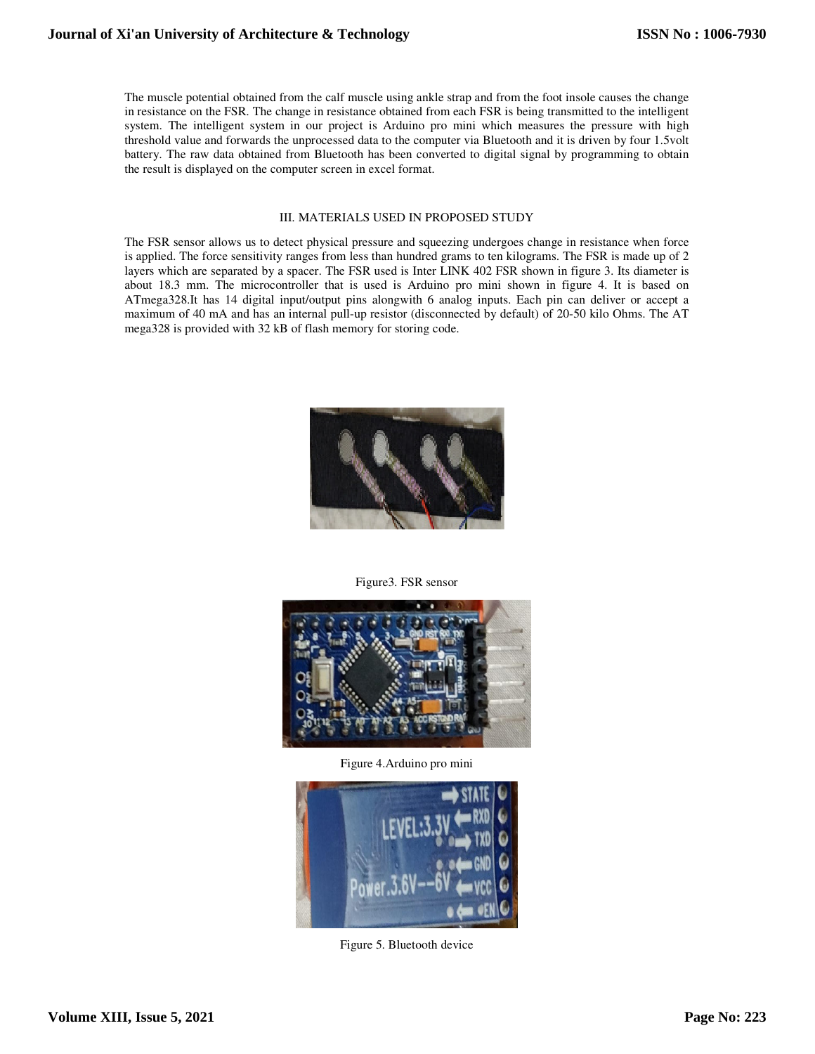The muscle potential obtained from the calf muscle using ankle strap and from the foot insole causes the change in resistance on the FSR. The change in resistance obtained from each FSR is being transmitted to the intelligent system. The intelligent system in our project is Arduino pro mini which measures the pressure with high threshold value and forwards the unprocessed data to the computer via Bluetooth and it is driven by four 1.5volt battery. The raw data obtained from Bluetooth has been converted to digital signal by programming to obtain the result is displayed on the computer screen in excel format.

#### III. MATERIALS USED IN PROPOSED STUDY

The FSR sensor allows us to detect physical pressure and squeezing undergoes change in resistance when force is applied. The force sensitivity ranges from less than hundred grams to ten kilograms. The FSR is made up of 2 layers which are separated by a spacer. The FSR used is Inter LINK 402 FSR shown in figure 3. Its diameter is about 18.3 mm. The microcontroller that is used is Arduino pro mini shown in figure 4. It is based on ATmega328.It has 14 digital input/output pins alongwith 6 analog inputs. Each pin can deliver or accept a maximum of 40 mA and has an internal pull-up resistor (disconnected by default) of 20-50 kilo Ohms. The AT mega328 is provided with 32 kB of flash memory for storing code.



Figure3. FSR sensor



Figure 4.Arduino pro mini



Figure 5. Bluetooth device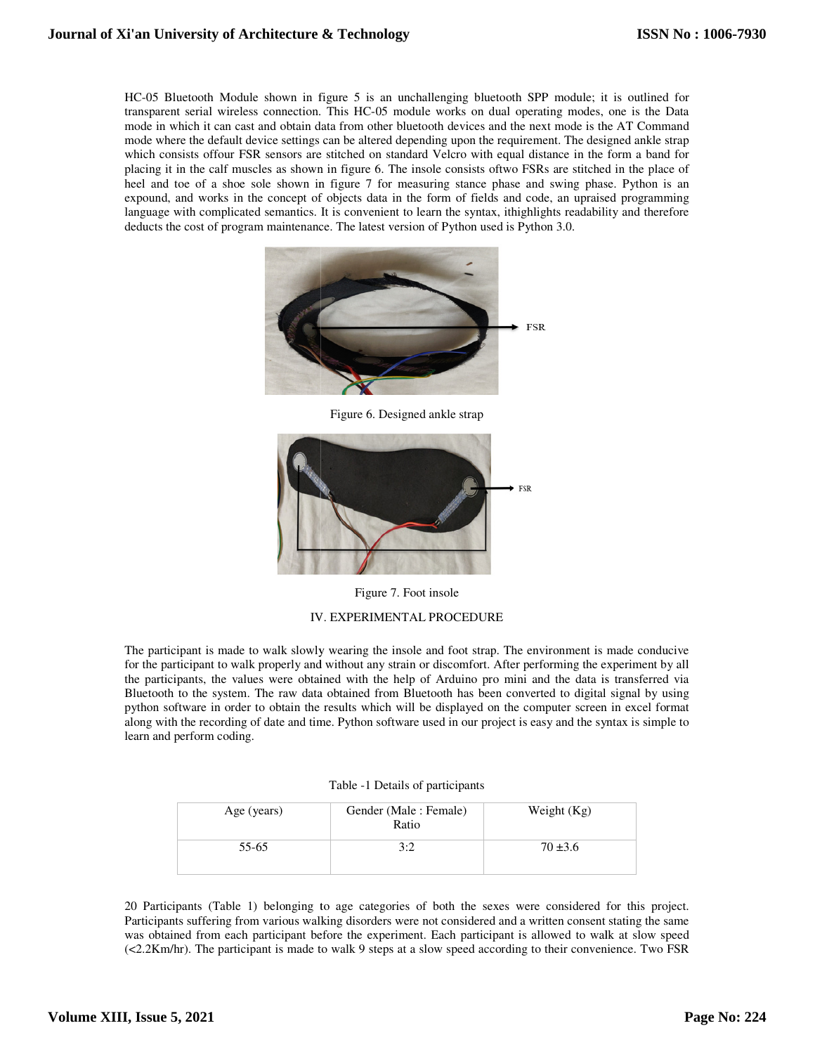HC-05 Bluetooth Module shown in figure 5 is an unchallenging bluetooth SPP module; it is outlined for transparent serial wireless connection. This HC HC-05 module works on dual operating modes, one is the Data mode in which it can cast and obtain data from other bluetooth devices and the next mode is the AT Command mode where the default device settings can be altered depending upon the requirement. The designed ankle strap which consists of four FSR sensors are stitched on standard Velcro with equal distance in the form a band for placing it in the calf muscles as shown in figure 6. The insole consists oftwo FSRs are stitched in the place of HC-05 Bluetooth Module shown in figure 5 is an unchallenging bluetooth SPP module; it is outlined for transparent serial wireless connection. This HC-05 module works on dual operating modes, one is the Data mode in which i expound, and works in the concept of objects data in the form of fields and code, an upraised programming expound, and works in the concept of objects data in the form of fields and code, an upraised programming<br>language with complicated semantics. It is convenient to learn the syntax, ithighlights readability and therefore deducts the cost of program maintenance. The latest version of Python used is Python 3.0. **Unternal of Xi'an University of Architecture & Technology<br>
112 C & Bleatoch Models shown in figure 3 is an univalidating biserood SPP models is in united for<br>
model were the distribution of the following the shown in the** 



Figure 6. Designed ankle strap



Figure 7. Foot insole

# IV. EXPERIMENTAL PROCEDURE

The participant is made to walk slowly wearing the insole and foot strap. The environment is made conducive for the participant to walk properly and without any strain or discomfort. After performing the experiment by all for the participant to walk properly and without any strain or discomfort. After performing the experiment by all<br>the participants, the values were obtained with the help of Arduino pro mini and the data is transferred via Bluetooth to the system. The raw data obtained from Bluetooth has been converted to digital signal by using python software in order to obtain the results which will be displayed on the computer screen in excel format along with the recording of date and time. Python software used in our project is easy and the syntax is simple to learn and perform coding. the system. The raw data obtained from Bluetooth has been converted to digital signal by usin<br>are in order to obtain the results which will be displayed on the computer screen in excel form<br>e recording of date and time. Py

| Table -1 Details of participants |  |  |  |  |
|----------------------------------|--|--|--|--|
|----------------------------------|--|--|--|--|

| Age (years) | Gender (Male: Female)<br>Ratio | Weight $(Kg)$ |
|-------------|--------------------------------|---------------|
| 55-65       | 3:2                            | $70 \pm 3.6$  |

20 Participants (Table 1) belonging to age categories of both the sexes were considered for this project. Participants suffering from various walking disorders were not considered and a written consent stating the same 20 Participants (Table 1) belonging to age categories of both the sexes were considered for this project.<br>Participants suffering from various walking disorders were not considered and a written consent stating the same<br>was (<2.2Km/hr). The participant is made to walk 9 steps at a slow speed according to their convenience. Two FSR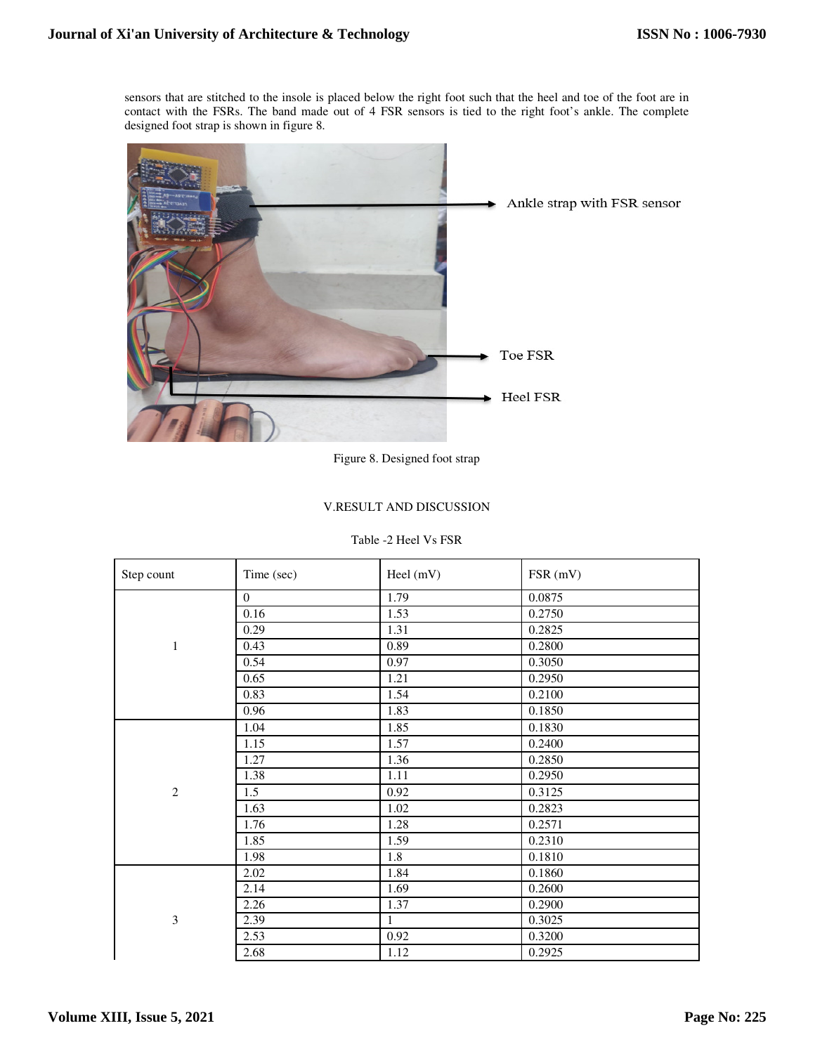sensors that are stitched to the insole is placed below the right foot such that the heel and toe of the foot are in contact with the FSRs. The band made out of 4 FSR sensors is tied to the right foot's ankle. The complete designed foot strap is shown in figure 8.



Figure 8. Designed foot strap

# V.RESULT AND DISCUSSION

## Table -2 Heel Vs FSR

| Step count     | Time (sec)     | Heel (mV)         | FSR (mV) |
|----------------|----------------|-------------------|----------|
|                | $\overline{0}$ | 1.79              | 0.0875   |
|                | 0.16           | 1.53              | 0.2750   |
|                | 0.29           | 1.31              | 0.2825   |
| 1              | 0.43           | 0.89              | 0.2800   |
|                | 0.54           | 0.97              | 0.3050   |
|                | 0.65           | 1.21              | 0.2950   |
|                | 0.83           | 1.54              | 0.2100   |
|                | 0.96           | 1.83              | 0.1850   |
|                | 1.04           | 1.85              | 0.1830   |
|                | 1.15           | 1.57              | 0.2400   |
|                | 1.27           | 1.36              | 0.2850   |
|                | 1.38           | 1.11              | 0.2950   |
| $\overline{2}$ | 1.5            | 0.92              | 0.3125   |
|                | 1.63           | 1.02              | 0.2823   |
|                | 1.76           | 1.28              | 0.2571   |
|                | 1.85           | 1.59              | 0.2310   |
|                | 1.98           | 1.8               | 0.1810   |
|                | 2.02           | 1.84              | 0.1860   |
|                | 2.14           | 1.69              | 0.2600   |
|                | 2.26           | 1.37              | 0.2900   |
| $\mathfrak{Z}$ | 2.39           | 1                 | 0.3025   |
|                | 2.53           | $\overline{0.92}$ | 0.3200   |
|                | 2.68           | 1.12              | 0.2925   |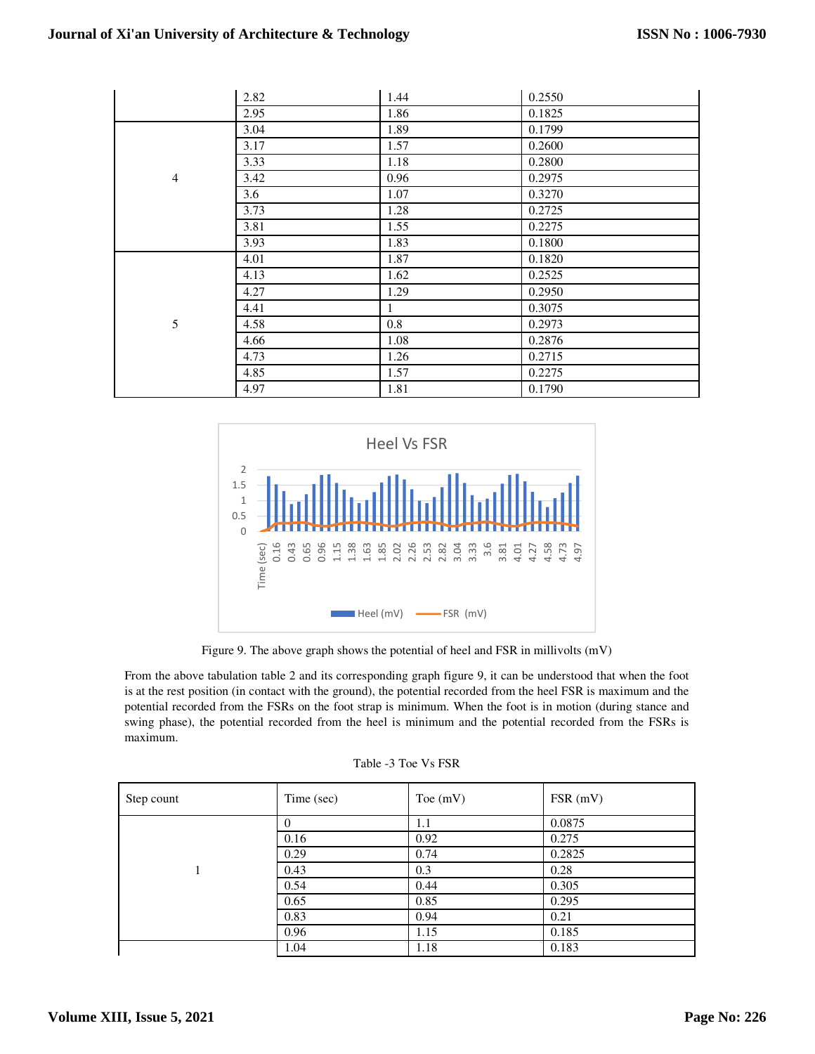|                | 2.82 | 1.44    | 0.2550 |
|----------------|------|---------|--------|
|                | 2.95 | 1.86    | 0.1825 |
|                | 3.04 | 1.89    | 0.1799 |
|                | 3.17 | 1.57    | 0.2600 |
|                | 3.33 | 1.18    | 0.2800 |
| $\overline{4}$ | 3.42 | 0.96    | 0.2975 |
|                | 3.6  | 1.07    | 0.3270 |
|                | 3.73 | 1.28    | 0.2725 |
|                | 3.81 | 1.55    | 0.2275 |
|                | 3.93 | 1.83    | 0.1800 |
|                | 4.01 | 1.87    | 0.1820 |
|                | 4.13 | 1.62    | 0.2525 |
|                | 4.27 | 1.29    | 0.2950 |
|                | 4.41 | 1       | 0.3075 |
| 5              | 4.58 | $0.8\,$ | 0.2973 |
|                | 4.66 | 1.08    | 0.2876 |
|                | 4.73 | 1.26    | 0.2715 |
|                | 4.85 | 1.57    | 0.2275 |
|                | 4.97 | 1.81    | 0.1790 |



Figure 9. The above graph shows the potential of heel and FSR in millivolts (mV)

From the above tabulation table 2 and its corresponding graph figure 9, it can be understood that when the foot is at the rest position (in contact with the ground), the potential recorded from the heel FSR is maximum and the potential recorded from the FSRs on the foot strap is minimum. When the foot is in motion (during stance and swing phase), the potential recorded from the heel is minimum and the potential recorded from the FSRs is maximum.

|  |  | Table -3 Toe Vs FSR |
|--|--|---------------------|
|--|--|---------------------|

| Step count | Time (sec) | Toe $(mV)$ | FSR(mV) |
|------------|------------|------------|---------|
|            |            | 1.1        | 0.0875  |
|            | 0.16       | 0.92       | 0.275   |
|            | 0.29       | 0.74       | 0.2825  |
|            | 0.43       | 0.3        | 0.28    |
|            | 0.54       | 0.44       | 0.305   |
|            | 0.65       | 0.85       | 0.295   |
|            | 0.83       | 0.94       | 0.21    |
|            | 0.96       | 1.15       | 0.185   |
|            | 1.04       | 1.18       | 0.183   |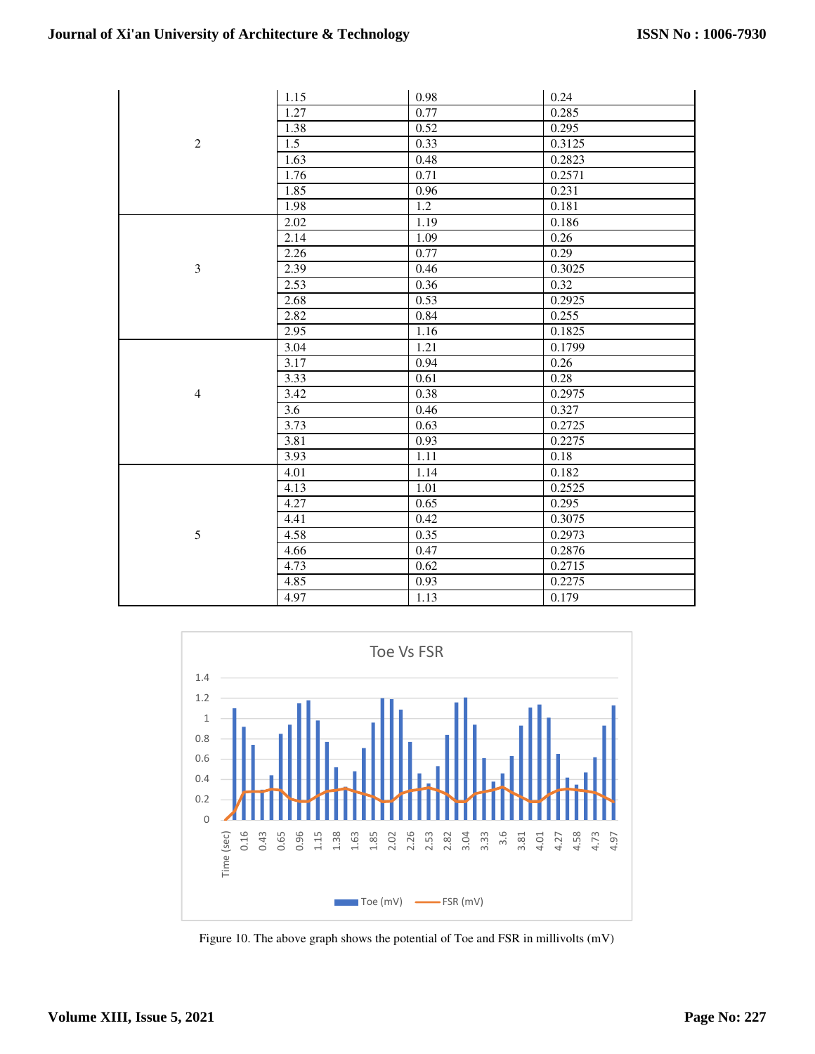|                | 1.15              | 0.98 | 0.24   |
|----------------|-------------------|------|--------|
|                | 1.27              | 0.77 | 0.285  |
|                | 1.38              | 0.52 | 0.295  |
| $\mathbf{2}$   | 1.5               | 0.33 | 0.3125 |
|                | 1.63              | 0.48 | 0.2823 |
|                | 1.76              | 0.71 | 0.2571 |
|                | 1.85              | 0.96 | 0.231  |
|                | 1.98              | 1.2  | 0.181  |
|                | 2.02              | 1.19 | 0.186  |
|                | 2.14              | 1.09 | 0.26   |
|                | 2.26              | 0.77 | 0.29   |
| 3              | 2.39              | 0.46 | 0.3025 |
|                | $2.\overline{53}$ | 0.36 | 0.32   |
|                | 2.68              | 0.53 | 0.2925 |
|                | 2.82              | 0.84 | 0.255  |
|                | 2.95              | 1.16 | 0.1825 |
|                | 3.04              | 1.21 | 0.1799 |
|                | 3.17              | 0.94 | 0.26   |
|                | 3.33              | 0.61 | 0.28   |
| $\overline{4}$ | 3.42              | 0.38 | 0.2975 |
|                | 3.6               | 0.46 | 0.327  |
|                | 3.73              | 0.63 | 0.2725 |
|                | 3.81              | 0.93 | 0.2275 |
|                | 3.93              | 1.11 | 0.18   |
|                | 4.01              | 1.14 | 0.182  |
|                | 4.13              | 1.01 | 0.2525 |
|                | 4.27              | 0.65 | 0.295  |
|                | 4.41              | 0.42 | 0.3075 |
| 5              | 4.58              | 0.35 | 0.2973 |
|                | 4.66              | 0.47 | 0.2876 |
|                | 4.73              | 0.62 | 0.2715 |
|                | 4.85              | 0.93 | 0.2275 |
|                | 4.97              | 1.13 | 0.179  |



Figure 10. The above graph shows the potential of Toe and FSR in millivolts (mV)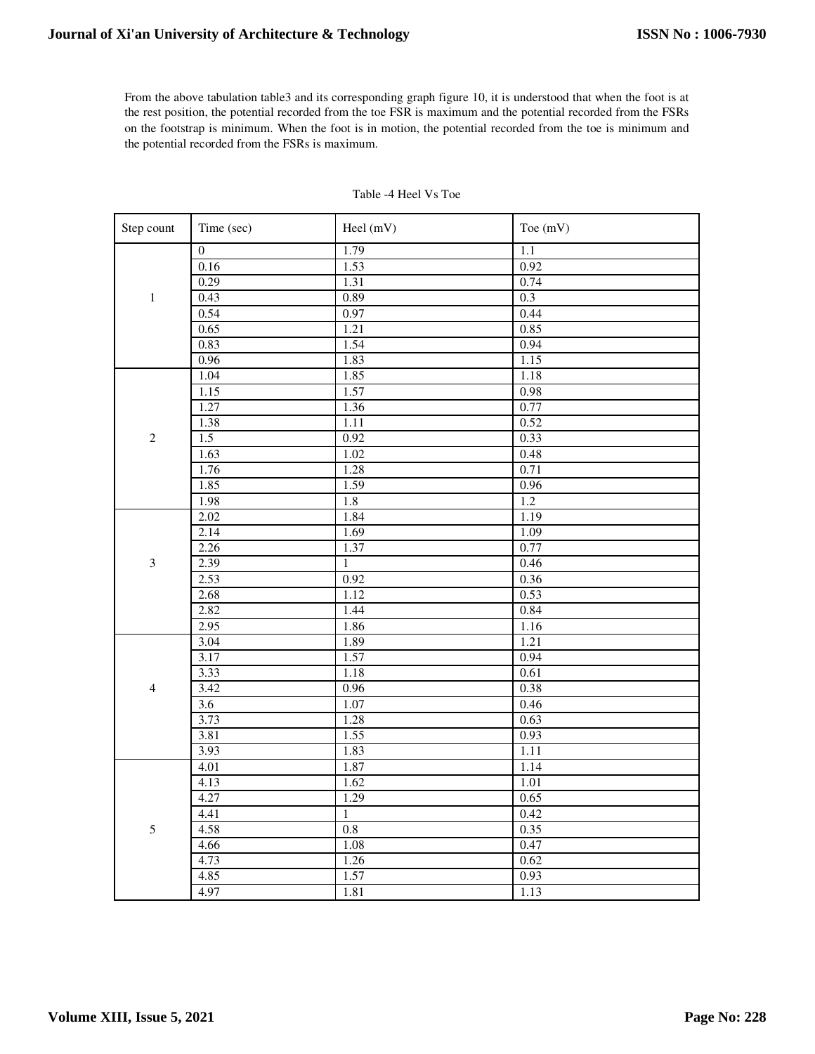From the above tabulation table3 and its corresponding graph figure 10, it is understood that when the foot is at the rest position, the potential recorded from the toe FSR is maximum and the potential recorded from the FSRs on the footstrap is minimum. When the foot is in motion, the potential recorded from the toe is minimum and the potential recorded from the FSRs is maximum.

| Step count     | Time (sec)       | Heel (mV)    | Toe (mV) |
|----------------|------------------|--------------|----------|
|                | $\overline{0}$   | 1.79         | 1.1      |
|                | 0.16             | 1.53         | 0.92     |
|                | 0.29             | 1.31         | 0.74     |
| $\,1$          | 0.43             | 0.89         | 0.3      |
|                | 0.54             | 0.97         | 0.44     |
|                | 0.65             | 1.21         | 0.85     |
|                | 0.83             | 1.54         | 0.94     |
|                | 0.96             | 1.83         | 1.15     |
|                | 1.04             | 1.85         | 1.18     |
|                | 1.15             | 1.57         | 0.98     |
|                | 1.27             | 1.36         | 0.77     |
|                | 1.38             | 1.11         | 0.52     |
| $\sqrt{2}$     | 1.5              | 0.92         | 0.33     |
|                | 1.63             | 1.02         | 0.48     |
|                | 1.76             | 1.28         | 0.71     |
|                | 1.85             | 1.59         | 0.96     |
|                | 1.98             | 1.8          | 1.2      |
|                | 2.02             | 1.84         | 1.19     |
|                | 2.14             | 1.69         | 1.09     |
|                | 2.26             | 1.37         | 0.77     |
| $\mathfrak z$  | 2.39             | $\mathbf{1}$ | 0.46     |
|                | 2.53             | 0.92         | 0.36     |
|                | 2.68             | 1.12         | 0.53     |
|                | 2.82             | 1.44         | 0.84     |
|                | 2.95             | 1.86         | 1.16     |
|                | 3.04             | 1.89         | 1.21     |
|                | 3.17             | 1.57         | 0.94     |
|                | 3.33             | 1.18         | 0.61     |
| $\overline{4}$ | 3.42             | 0.96         | 0.38     |
|                | $\overline{3.6}$ | 1.07         | 0.46     |
|                | 3.73             | 1.28         | 0.63     |
|                | 3.81             | 1.55         | 0.93     |
|                | 3.93             | 1.83         | 1.11     |
|                | 4.01             | 1.87         | 1.14     |
|                | 4.13             | 1.62         | 1.01     |
|                | 4.27             | 1.29         | 0.65     |
|                | 4.41             | $\mathbf{1}$ | 0.42     |
| 5              | 4.58             | 0.8          | 0.35     |
|                | 4.66             | 1.08         | 0.47     |
|                | 4.73             | 1.26         | 0.62     |
|                | 4.85             | 1.57         | 0.93     |
|                | 4.97             | 1.81         | 1.13     |

# Table -4 Heel Vs Toe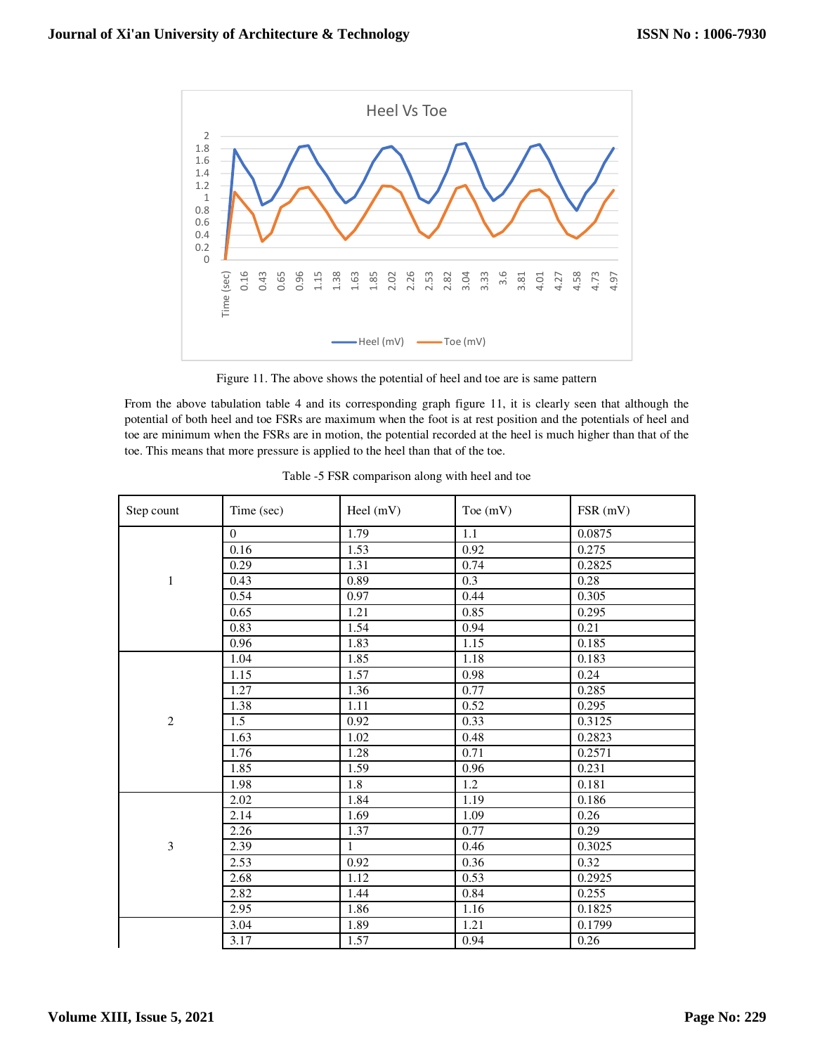

Figure 11. The above shows the potential of heel and toe are is same pattern

From the above tabulation table 4 and its corresponding graph figure 11, it is clearly seen that although the potential of both heel and toe FSRs are maximum when the foot is at rest position and the potentials of heel and toe are minimum when the FSRs are in motion, the potential recorded at the heel is much higher than that of the toe. This means that more pressure is applied to the heel than that of the toe.

| Step count     | Time (sec)       | Heel $(mV)$       | Toe $(mV)$ | FSR (mV) |
|----------------|------------------|-------------------|------------|----------|
|                | $\overline{0}$   | $\overline{1.79}$ | $1.1\,$    | 0.0875   |
|                | 0.16             | 1.53              | 0.92       | 0.275    |
|                | 0.29             | 1.31              | 0.74       | 0.2825   |
| $\mathbf{1}$   | 0.43             | 0.89              | 0.3        | 0.28     |
|                | 0.54             | 0.97              | 0.44       | 0.305    |
|                | 0.65             | 1.21              | 0.85       | 0.295    |
|                | 0.83             | 1.54              | 0.94       | 0.21     |
|                | 0.96             | 1.83              | 1.15       | 0.185    |
|                | 1.04             | 1.85              | 1.18       | 0.183    |
|                | 1.15             | 1.57              | 0.98       | 0.24     |
|                | 1.27             | 1.36              | 0.77       | 0.285    |
|                | 1.38             | $1.11$            | 0.52       | 0.295    |
| $\mathbf{2}$   | $\overline{1.5}$ | 0.92              | 0.33       | 0.3125   |
|                | 1.63             | 1.02              | 0.48       | 0.2823   |
|                | 1.76             | 1.28              | 0.71       | 0.2571   |
|                | 1.85             | 1.59              | 0.96       | 0.231    |
|                | 1.98             | 1.8               | 1.2        | 0.181    |
|                | 2.02             | 1.84              | 1.19       | 0.186    |
|                | 2.14             | 1.69              | 1.09       | 0.26     |
|                | 2.26             | 1.37              | 0.77       | 0.29     |
| $\mathfrak{Z}$ | 2.39             | $\mathbf{1}$      | 0.46       | 0.3025   |
|                | 2.53             | 0.92              | 0.36       | 0.32     |
|                | 2.68             | 1.12              | 0.53       | 0.2925   |
|                | 2.82             | 1.44              | 0.84       | 0.255    |
|                | 2.95             | 1.86              | 1.16       | 0.1825   |
|                | 3.04             | 1.89              | 1.21       | 0.1799   |
|                | 3.17             | 1.57              | 0.94       | $0.26\,$ |

Table -5 FSR comparison along with heel and toe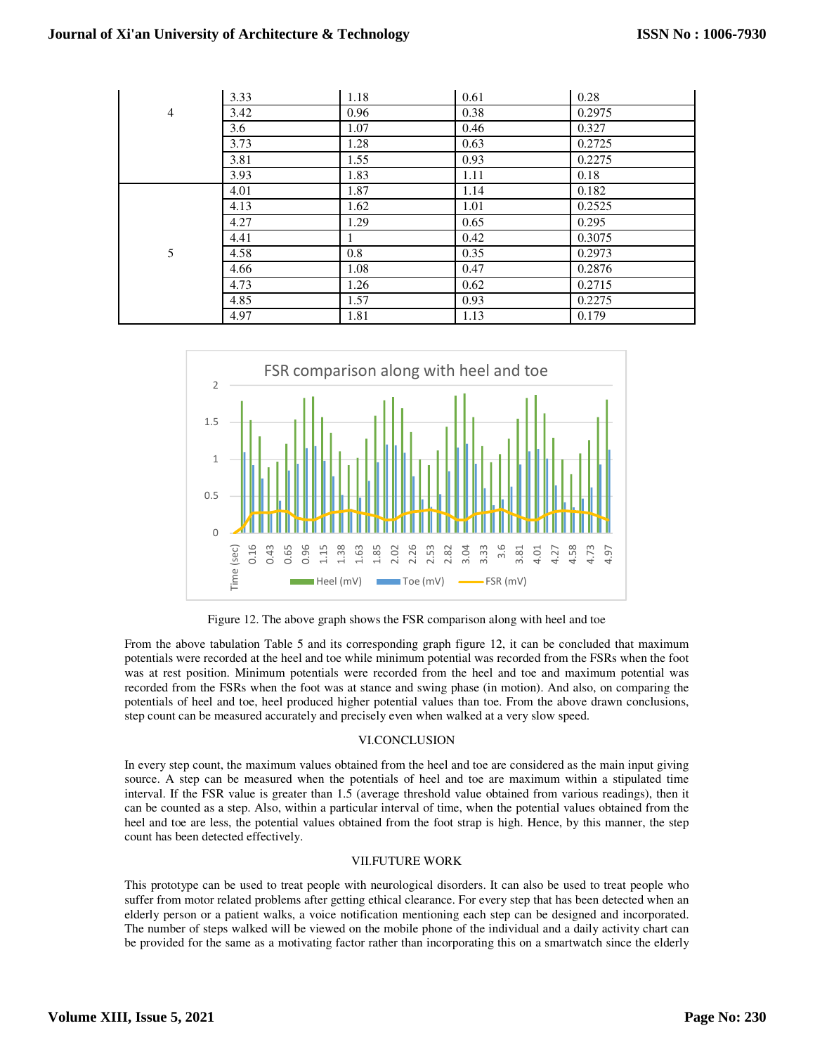|   | 3.33 | 1.18    | 0.61 | 0.28   |
|---|------|---------|------|--------|
| 4 | 3.42 | 0.96    | 0.38 | 0.2975 |
|   | 3.6  | 1.07    | 0.46 | 0.327  |
|   | 3.73 | 1.28    | 0.63 | 0.2725 |
|   | 3.81 | 1.55    | 0.93 | 0.2275 |
|   | 3.93 | 1.83    | 1.11 | 0.18   |
|   | 4.01 | 1.87    | 1.14 | 0.182  |
|   | 4.13 | 1.62    | 1.01 | 0.2525 |
|   | 4.27 | 1.29    | 0.65 | 0.295  |
|   | 4.41 | 1       | 0.42 | 0.3075 |
| 5 | 4.58 | $0.8\,$ | 0.35 | 0.2973 |
|   | 4.66 | 1.08    | 0.47 | 0.2876 |
|   | 4.73 | 1.26    | 0.62 | 0.2715 |
|   | 4.85 | 1.57    | 0.93 | 0.2275 |
|   | 4.97 | 1.81    | 1.13 | 0.179  |



Figure 12. The above graph shows the FSR comparison along with heel and toe

From the above tabulation Table 5 and its corresponding graph figure 12, it can be concluded that maximum potentials were recorded at the heel and toe while minimum potential was recorded from the FSRs when the foot was at rest position. Minimum potentials were recorded from the heel and toe and maximum potential was recorded from the FSRs when the foot was at stance and swing phase (in motion). And also, on comparing the potentials of heel and toe, heel produced higher potential values than toe. From the above drawn conclusions, step count can be measured accurately and precisely even when walked at a very slow speed.

## VI.CONCLUSION

In every step count, the maximum values obtained from the heel and toe are considered as the main input giving source. A step can be measured when the potentials of heel and toe are maximum within a stipulated time interval. If the FSR value is greater than 1.5 (average threshold value obtained from various readings), then it can be counted as a step. Also, within a particular interval of time, when the potential values obtained from the heel and toe are less, the potential values obtained from the foot strap is high. Hence, by this manner, the step count has been detected effectively.

## VII.FUTURE WORK

This prototype can be used to treat people with neurological disorders. It can also be used to treat people who suffer from motor related problems after getting ethical clearance. For every step that has been detected when an elderly person or a patient walks, a voice notification mentioning each step can be designed and incorporated. The number of steps walked will be viewed on the mobile phone of the individual and a daily activity chart can be provided for the same as a motivating factor rather than incorporating this on a smartwatch since the elderly